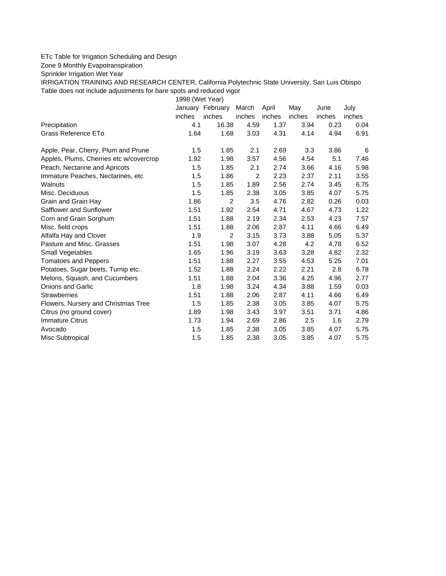## ETc Table for Irrigation Scheduling and Design

Zone 9 Monthly Evapotranspiration

Sprinkler Irrigation Wet Year

IRRIGATION TRAINING AND RESEARCH CENTER, California Polytechnic State University, San Luis Obispo Table does not include adjustments for bare spots and reduced vigor

1998 (Wet Year)

|                                         | January | February       | March          | April  | May    | June   | July   |
|-----------------------------------------|---------|----------------|----------------|--------|--------|--------|--------|
|                                         | inches  | inches         | inches         | inches | inches | inches | inches |
| Precipitation                           | 4.1     | 16.38          | 4.59           | 1.37   | 3.94   | 0.23   | 0.04   |
| Grass Reference ETo                     | 1.64    | 1.68           | 3.03           | 4.31   | 4.14   | 4.94   | 6.91   |
| Apple, Pear, Cherry, Plum and Prune     | 1.5     | 1.85           | 2.1            | 2.69   | 3.3    | 3.86   | 6      |
| Apples, Plums, Cherries etc w/covercrop | 1.92    | 1.98           | 3.57           | 4.56   | 4.54   | 5.1    | 7.46   |
| Peach, Nectarine and Apricots           | 1.5     | 1.85           | 2.1            | 2.74   | 3.66   | 4.16   | 5.98   |
| Immature Peaches, Nectarines, etc.      | 1.5     | 1.86           | $\overline{2}$ | 2.23   | 2.37   | 2.11   | 3.55   |
| Walnuts                                 | 1.5     | 1.85           | 1.89           | 2.56   | 2.74   | 3.45   | 6.75   |
| Misc. Deciduous                         | 1.5     | 1.85           | 2.38           | 3.05   | 3.85   | 4.07   | 5.75   |
| Grain and Grain Hay                     | 1.86    | $\overline{2}$ | 3.5            | 4.76   | 2.82   | 0.26   | 0.03   |
| Safflower and Sunflower                 | 1.51    | 1.92           | 2.54           | 4.71   | 4.67   | 4.73   | 1.22   |
| Corn and Grain Sorghum                  | 1.51    | 1.88           | 2.19           | 2.34   | 2.53   | 4.23   | 7.57   |
| Misc. field crops                       | 1.51    | 1.88           | 2.06           | 2.87   | 4.11   | 4.66   | 6.49   |
| Alfalfa Hay and Clover                  | 1.9     | 2              | 3.15           | 3.73   | 3.88   | 5.05   | 5.37   |
| Pasture and Misc. Grasses               | 1.51    | 1.98           | 3.07           | 4.28   | 4.2    | 4.78   | 6.52   |
| Small Vegetables                        | 1.65    | 1.96           | 3.19           | 3.63   | 3.28   | 4.82   | 2.32   |
| <b>Tomatoes and Peppers</b>             | 1.51    | 1.88           | 2.27           | 3.55   | 4.53   | 5.25   | 7.01   |
| Potatoes, Sugar beets, Turnip etc       | 1.52    | 1.88           | 2.24           | 2.22   | 2.21   | 2.8    | 6.78   |
| Melons, Squash, and Cucumbers           | 1.51    | 1.88           | 2.04           | 3.36   | 4.25   | 4.96   | 2.77   |
| <b>Onions and Garlic</b>                | 1.8     | 1.98           | 3.24           | 4.34   | 3.88   | 1.59   | 0.03   |
| <b>Strawberries</b>                     | 1.51    | 1.88           | 2.06           | 2.87   | 4.11   | 4.66   | 6.49   |
| Flowers, Nursery and Christmas Tree     | 1.5     | 1.85           | 2.38           | 3.05   | 3.85   | 4.07   | 5.75   |
| Citrus (no ground cover)                | 1.89    | 1.98           | 3.43           | 3.97   | 3.51   | 3.71   | 4.86   |
| <b>Immature Citrus</b>                  | 1.73    | 1.94           | 2.69           | 2.86   | 2.5    | 1.6    | 2.79   |
| Avocado                                 | 1.5     | 1.85           | 2.38           | 3.05   | 3.85   | 4.07   | 5.75   |
| Misc Subtropical                        | 1.5     | 1.85           | 2.38           | 3.05   | 3.85   | 4.07   | 5.75   |